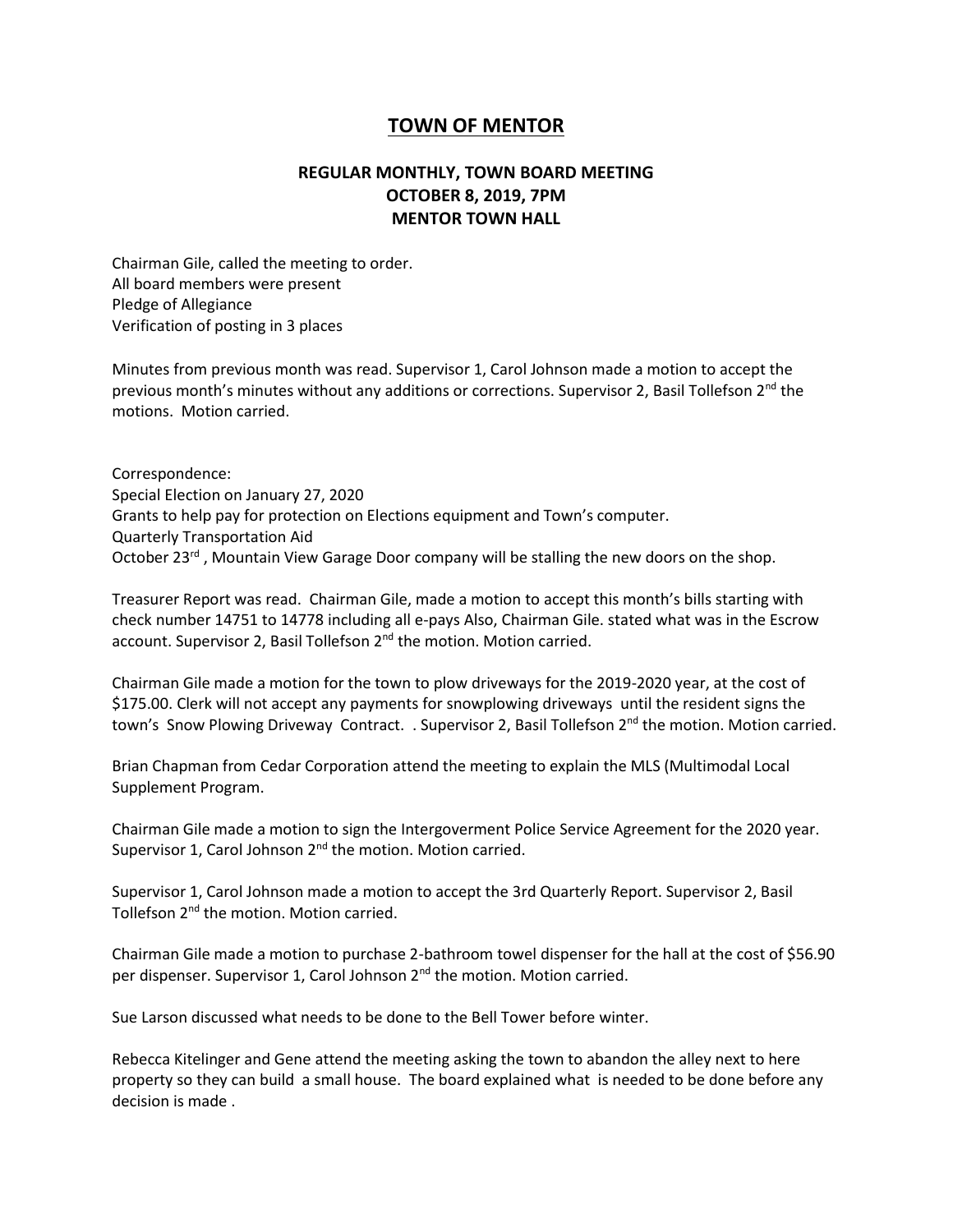## **TOWN OF MENTOR**

## **REGULAR MONTHLY, TOWN BOARD MEETING OCTOBER 8, 2019, 7PM MENTOR TOWN HALL**

Chairman Gile, called the meeting to order. All board members were present Pledge of Allegiance Verification of posting in 3 places

Minutes from previous month was read. Supervisor 1, Carol Johnson made a motion to accept the previous month's minutes without any additions or corrections. Supervisor 2, Basil Tollefson  $2^{nd}$  the motions. Motion carried.

Correspondence: Special Election on January 27, 2020 Grants to help pay for protection on Elections equipment and Town's computer. Quarterly Transportation Aid October 23<sup>rd</sup>, Mountain View Garage Door company will be stalling the new doors on the shop.

Treasurer Report was read. Chairman Gile, made a motion to accept this month's bills starting with check number 14751 to 14778 including all e-pays Also, Chairman Gile. stated what was in the Escrow account. Supervisor 2, Basil Tollefson 2<sup>nd</sup> the motion. Motion carried.

Chairman Gile made a motion for the town to plow driveways for the 2019-2020 year, at the cost of \$175.00. Clerk will not accept any payments for snowplowing driveways until the resident signs the town's Snow Plowing Driveway Contract. . Supervisor 2, Basil Tollefson 2<sup>nd</sup> the motion. Motion carried.

Brian Chapman from Cedar Corporation attend the meeting to explain the MLS (Multimodal Local Supplement Program.

Chairman Gile made a motion to sign the Intergoverment Police Service Agreement for the 2020 year. Supervisor 1, Carol Johnson  $2^{nd}$  the motion. Motion carried.

Supervisor 1, Carol Johnson made a motion to accept the 3rd Quarterly Report. Supervisor 2, Basil Tollefson 2nd the motion. Motion carried.

Chairman Gile made a motion to purchase 2-bathroom towel dispenser for the hall at the cost of \$56.90 per dispenser. Supervisor 1, Carol Johnson 2<sup>nd</sup> the motion. Motion carried.

Sue Larson discussed what needs to be done to the Bell Tower before winter.

Rebecca Kitelinger and Gene attend the meeting asking the town to abandon the alley next to here property so they can build a small house. The board explained what is needed to be done before any decision is made .